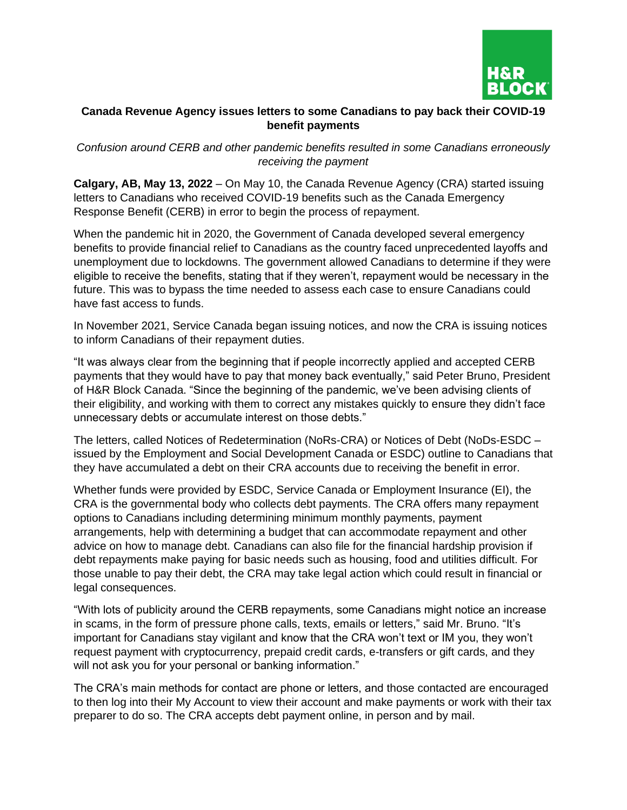

## **Canada Revenue Agency issues letters to some Canadians to pay back their COVID-19 benefit payments**

*Confusion around CERB and other pandemic benefits resulted in some Canadians erroneously receiving the payment*

**Calgary, AB, May 13, 2022** – On May 10, the Canada Revenue Agency (CRA) started issuing letters to Canadians who received COVID-19 benefits such as the Canada Emergency Response Benefit (CERB) in error to begin the process of repayment.

When the pandemic hit in 2020, the Government of Canada developed several emergency benefits to provide financial relief to Canadians as the country faced unprecedented layoffs and unemployment due to lockdowns. The government allowed Canadians to determine if they were eligible to receive the benefits, stating that if they weren't, repayment would be necessary in the future. This was to bypass the time needed to assess each case to ensure Canadians could have fast access to funds.

In November 2021, Service Canada began issuing notices, and now the CRA is issuing notices to inform Canadians of their repayment duties.

"It was always clear from the beginning that if people incorrectly applied and accepted CERB payments that they would have to pay that money back eventually," said Peter Bruno, President of H&R Block Canada. "Since the beginning of the pandemic, we've been advising clients of their eligibility, and working with them to correct any mistakes quickly to ensure they didn't face unnecessary debts or accumulate interest on those debts."

The letters, called Notices of Redetermination (NoRs-CRA) or Notices of Debt (NoDs-ESDC – issued by the Employment and Social Development Canada or ESDC) outline to Canadians that they have accumulated a debt on their CRA accounts due to receiving the benefit in error.

Whether funds were provided by ESDC, Service Canada or Employment Insurance (EI), the CRA is the governmental body who collects debt payments. The CRA offers many repayment options to Canadians including determining minimum monthly payments, payment arrangements, help with determining a budget that can accommodate repayment and other advice on how to manage debt. Canadians can also file for the financial hardship provision if debt repayments make paying for basic needs such as housing, food and utilities difficult. For those unable to pay their debt, the CRA may take legal action which could result in financial or legal consequences.

"With lots of publicity around the CERB repayments, some Canadians might notice an increase in scams, in the form of pressure phone calls, texts, emails or letters," said Mr. Bruno. "It's important for Canadians stay vigilant and know that the CRA won't text or IM you, they won't request payment with cryptocurrency, prepaid credit cards, e-transfers or gift cards, and they will not ask you for your personal or banking information."

The CRA's main methods for contact are phone or letters, and those contacted are encouraged to then log into their My Account to view their account and make payments or work with their tax preparer to do so. The CRA accepts debt payment online, in person and by mail.